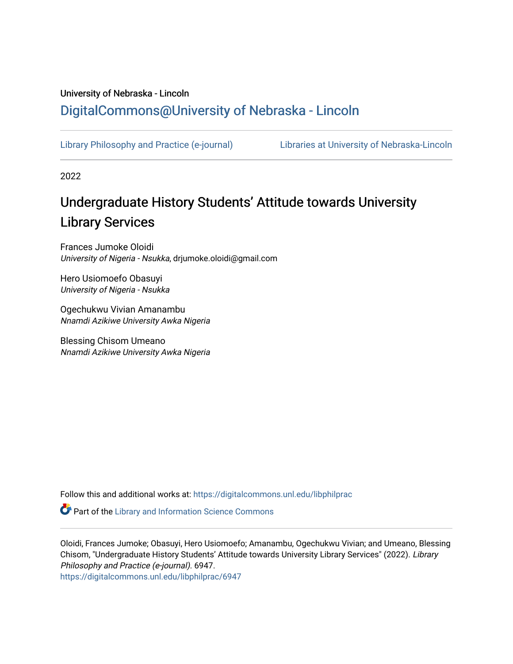# University of Nebraska - Lincoln [DigitalCommons@University of Nebraska - Lincoln](https://digitalcommons.unl.edu/)

[Library Philosophy and Practice \(e-journal\)](https://digitalcommons.unl.edu/libphilprac) [Libraries at University of Nebraska-Lincoln](https://digitalcommons.unl.edu/libraries) 

2022

# Undergraduate History Students' Attitude towards University Library Services

Frances Jumoke Oloidi University of Nigeria - Nsukka, drjumoke.oloidi@gmail.com

Hero Usiomoefo Obasuyi University of Nigeria - Nsukka

Ogechukwu Vivian Amanambu Nnamdi Azikiwe University Awka Nigeria

Blessing Chisom Umeano Nnamdi Azikiwe University Awka Nigeria

Follow this and additional works at: [https://digitalcommons.unl.edu/libphilprac](https://digitalcommons.unl.edu/libphilprac?utm_source=digitalcommons.unl.edu%2Flibphilprac%2F6947&utm_medium=PDF&utm_campaign=PDFCoverPages) 

**Part of the Library and Information Science Commons** 

Oloidi, Frances Jumoke; Obasuyi, Hero Usiomoefo; Amanambu, Ogechukwu Vivian; and Umeano, Blessing Chisom, "Undergraduate History Students' Attitude towards University Library Services" (2022). Library Philosophy and Practice (e-journal). 6947.

[https://digitalcommons.unl.edu/libphilprac/6947](https://digitalcommons.unl.edu/libphilprac/6947?utm_source=digitalcommons.unl.edu%2Flibphilprac%2F6947&utm_medium=PDF&utm_campaign=PDFCoverPages)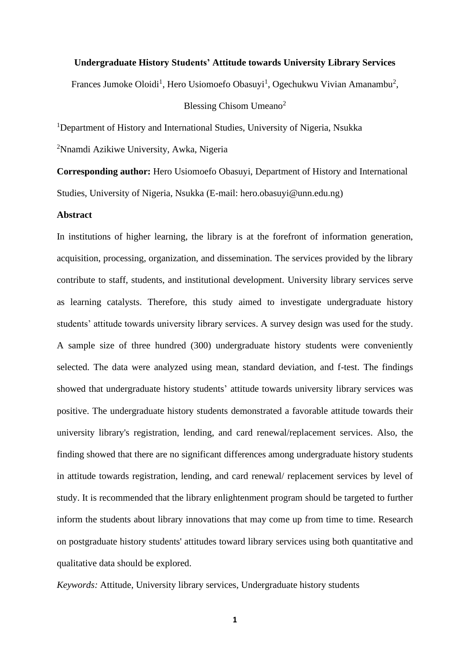#### **Undergraduate History Students' Attitude towards University Library Services**

Frances Jumoke Oloidi<sup>1</sup>, Hero Usiomoefo Obasuyi<sup>1</sup>, Ogechukwu Vivian Amanambu<sup>2</sup>,

Blessing Chisom Umeano<sup>2</sup>

<sup>1</sup>Department of History and International Studies, University of Nigeria, Nsukka

<sup>2</sup>Nnamdi Azikiwe University, Awka, Nigeria

**Corresponding author:** Hero Usiomoefo Obasuyi, Department of History and International Studies, University of Nigeria, Nsukka (E-mail: hero.obasuyi@unn.edu.ng)

#### **Abstract**

In institutions of higher learning, the library is at the forefront of information generation, acquisition, processing, organization, and dissemination. The services provided by the library contribute to staff, students, and institutional development. University library services serve as learning catalysts. Therefore, this study aimed to investigate undergraduate history students' attitude towards university library services. A survey design was used for the study. A sample size of three hundred (300) undergraduate history students were conveniently selected. The data were analyzed using mean, standard deviation, and f-test. The findings showed that undergraduate history students' attitude towards university library services was positive. The undergraduate history students demonstrated a favorable attitude towards their university library's registration, lending, and card renewal/replacement services. Also, the finding showed that there are no significant differences among undergraduate history students in attitude towards registration, lending, and card renewal/ replacement services by level of study. It is recommended that the library enlightenment program should be targeted to further inform the students about library innovations that may come up from time to time. Research on postgraduate history students' attitudes toward library services using both quantitative and qualitative data should be explored.

*Keywords:* Attitude, University library services, Undergraduate history students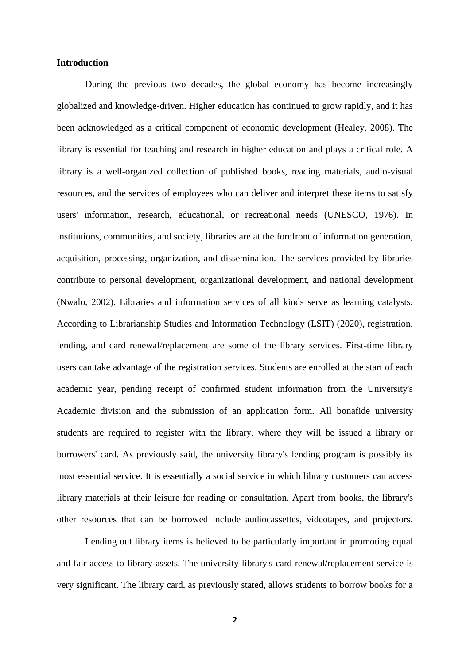#### **Introduction**

During the previous two decades, the global economy has become increasingly globalized and knowledge-driven. Higher education has continued to grow rapidly, and it has been acknowledged as a critical component of economic development (Healey, 2008). The library is essential for teaching and research in higher education and plays a critical role. A library is a well-organized collection of published books, reading materials, audio-visual resources, and the services of employees who can deliver and interpret these items to satisfy users' information, research, educational, or recreational needs (UNESCO, 1976). In institutions, communities, and society, libraries are at the forefront of information generation, acquisition, processing, organization, and dissemination. The services provided by libraries contribute to personal development, organizational development, and national development (Nwalo, 2002). Libraries and information services of all kinds serve as learning catalysts. According to Librarianship Studies and Information Technology (LSIT) (2020), registration, lending, and card renewal/replacement are some of the library services. First-time library users can take advantage of the registration services. Students are enrolled at the start of each academic year, pending receipt of confirmed student information from the University's Academic division and the submission of an application form. All bonafide university students are required to register with the library, where they will be issued a library or borrowers' card. As previously said, the university library's lending program is possibly its most essential service. It is essentially a social service in which library customers can access library materials at their leisure for reading or consultation. Apart from books, the library's other resources that can be borrowed include audiocassettes, videotapes, and projectors.

Lending out library items is believed to be particularly important in promoting equal and fair access to library assets. The university library's card renewal/replacement service is very significant. The library card, as previously stated, allows students to borrow books for a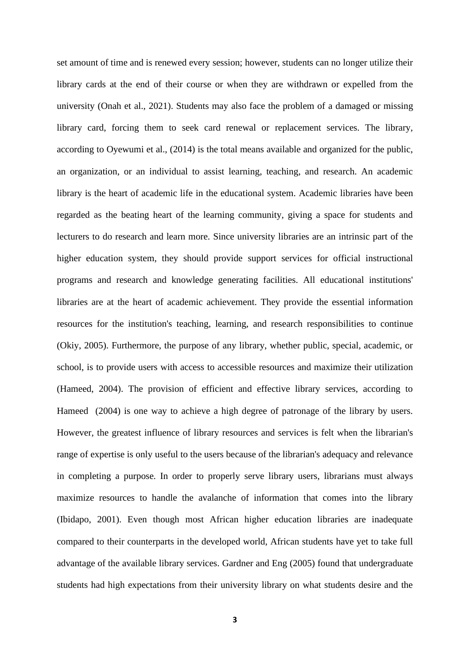set amount of time and is renewed every session; however, students can no longer utilize their library cards at the end of their course or when they are withdrawn or expelled from the university (Onah et al., 2021). Students may also face the problem of a damaged or missing library card, forcing them to seek card renewal or replacement services. The library, according to Oyewumi et al., (2014) is the total means available and organized for the public, an organization, or an individual to assist learning, teaching, and research. An academic library is the heart of academic life in the educational system. Academic libraries have been regarded as the beating heart of the learning community, giving a space for students and lecturers to do research and learn more. Since university libraries are an intrinsic part of the higher education system, they should provide support services for official instructional programs and research and knowledge generating facilities. All educational institutions' libraries are at the heart of academic achievement. They provide the essential information resources for the institution's teaching, learning, and research responsibilities to continue (Okiy, 2005). Furthermore, the purpose of any library, whether public, special, academic, or school, is to provide users with access to accessible resources and maximize their utilization (Hameed, 2004). The provision of efficient and effective library services, according to Hameed (2004) is one way to achieve a high degree of patronage of the library by users. However, the greatest influence of library resources and services is felt when the librarian's range of expertise is only useful to the users because of the librarian's adequacy and relevance in completing a purpose. In order to properly serve library users, librarians must always maximize resources to handle the avalanche of information that comes into the library (Ibidapo, 2001). Even though most African higher education libraries are inadequate compared to their counterparts in the developed world, African students have yet to take full advantage of the available library services. Gardner and Eng (2005) found that undergraduate students had high expectations from their university library on what students desire and the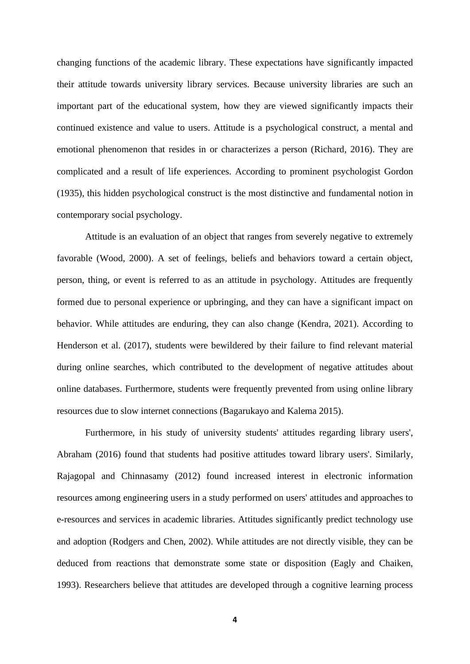changing functions of the academic library. These expectations have significantly impacted their attitude towards university library services. Because university libraries are such an important part of the educational system, how they are viewed significantly impacts their continued existence and value to users. Attitude is a psychological construct, a mental and emotional phenomenon that resides in or characterizes a person (Richard, 2016). They are complicated and a result of life experiences. According to prominent psychologist Gordon (1935), this hidden psychological construct is the most distinctive and fundamental notion in contemporary social psychology.

Attitude is an evaluation of an object that ranges from severely negative to extremely favorable (Wood, 2000). A set of feelings, beliefs and behaviors toward a certain object, person, thing, or event is referred to as an attitude in psychology. Attitudes are frequently formed due to personal experience or upbringing, and they can have a significant impact on behavior. While attitudes are enduring, they can also change (Kendra, 2021). According to Henderson et al. (2017), students were bewildered by their failure to find relevant material during online searches, which contributed to the development of negative attitudes about online databases. Furthermore, students were frequently prevented from using online library resources due to slow internet connections (Bagarukayo and Kalema 2015).

Furthermore, in his study of university students' attitudes regarding library users', Abraham (2016) found that students had positive attitudes toward library users'. Similarly, Rajagopal and Chinnasamy (2012) found increased interest in electronic information resources among engineering users in a study performed on users' attitudes and approaches to e-resources and services in academic libraries. Attitudes significantly predict technology use and adoption (Rodgers and Chen, 2002). While attitudes are not directly visible, they can be deduced from reactions that demonstrate some state or disposition (Eagly and Chaiken, 1993). Researchers believe that attitudes are developed through a cognitive learning process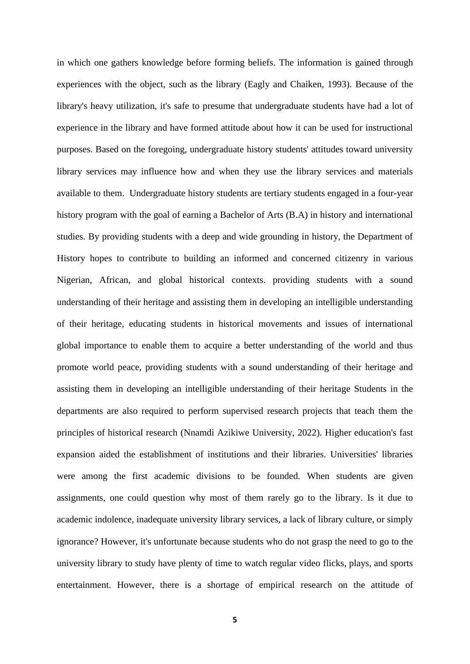in which one gathers knowledge before forming beliefs. The information is gained through experiences with the object, such as the library (Eagly and Chaiken, 1993). Because of the library's heavy utilization, it's safe to presume that undergraduate students have had a lot of experience in the library and have formed attitude about how it can be used for instructional purposes. Based on the foregoing, undergraduate history students' attitudes toward university library services may influence how and when they use the library services and materials available to them. Undergraduate history students are tertiary students engaged in a four-year history program with the goal of earning a Bachelor of Arts (B.A) in history and international studies. By providing students with a deep and wide grounding in history, the Department of History hopes to contribute to building an informed and concerned citizenry in various Nigerian, African, and global historical contexts. providing students with a sound understanding of their heritage and assisting them in developing an intelligible understanding of their heritage, educating students in historical movements and issues of international global importance to enable them to acquire a better understanding of the world and thus promote world peace, providing students with a sound understanding of their heritage and assisting them in developing an intelligible understanding of their heritage Students in the departments are also required to perform supervised research projects that teach them the principles of historical research (Nnamdi Azikiwe University, 2022). Higher education's fast expansion aided the establishment of institutions and their libraries. Universities' libraries were among the first academic divisions to be founded. When students are given assignments, one could question why most of them rarely go to the library. Is it due to academic indolence, inadequate university library services, a lack of library culture, or simply ignorance? However, it's unfortunate because students who do not grasp the need to go to the university library to study have plenty of time to watch regular video flicks, plays, and sports entertainment. However, there is a shortage of empirical research on the attitude of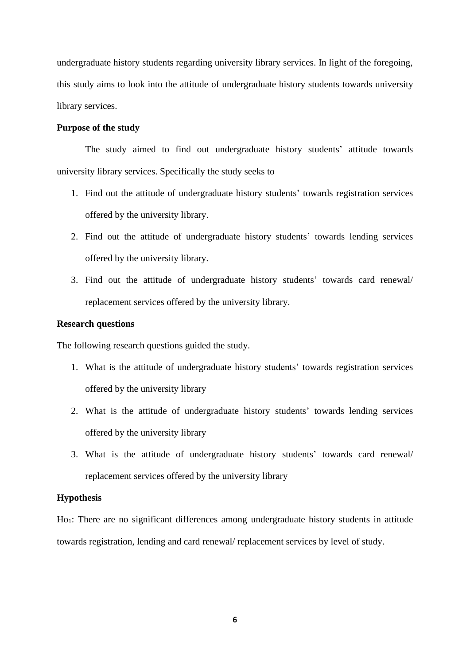undergraduate history students regarding university library services. In light of the foregoing, this study aims to look into the attitude of undergraduate history students towards university library services.

#### **Purpose of the study**

The study aimed to find out undergraduate history students' attitude towards university library services. Specifically the study seeks to

- 1. Find out the attitude of undergraduate history students' towards registration services offered by the university library.
- 2. Find out the attitude of undergraduate history students' towards lending services offered by the university library.
- 3. Find out the attitude of undergraduate history students' towards card renewal/ replacement services offered by the university library.

## **Research questions**

The following research questions guided the study.

- 1. What is the attitude of undergraduate history students' towards registration services offered by the university library
- 2. What is the attitude of undergraduate history students' towards lending services offered by the university library
- 3. What is the attitude of undergraduate history students' towards card renewal/ replacement services offered by the university library

#### **Hypothesis**

Ho1: There are no significant differences among undergraduate history students in attitude towards registration, lending and card renewal/ replacement services by level of study.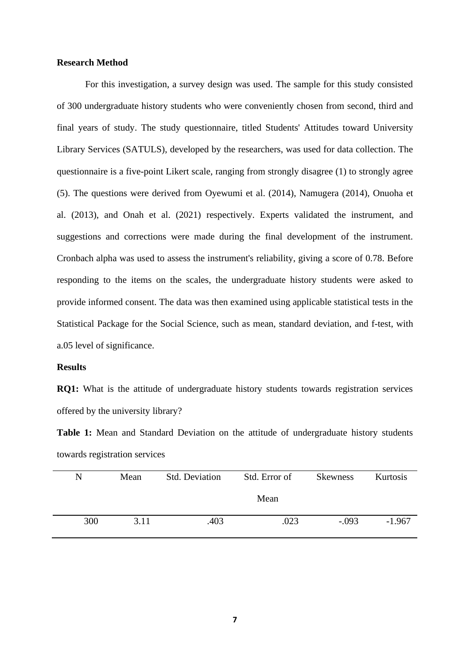#### **Research Method**

For this investigation, a survey design was used. The sample for this study consisted of 300 undergraduate history students who were conveniently chosen from second, third and final years of study. The study questionnaire, titled Students' Attitudes toward University Library Services (SATULS), developed by the researchers, was used for data collection. The questionnaire is a five-point Likert scale, ranging from strongly disagree (1) to strongly agree (5). The questions were derived from Oyewumi et al. (2014), Namugera (2014), Onuoha et al. (2013), and Onah et al. (2021) respectively. Experts validated the instrument, and suggestions and corrections were made during the final development of the instrument. Cronbach alpha was used to assess the instrument's reliability, giving a score of 0.78. Before responding to the items on the scales, the undergraduate history students were asked to provide informed consent. The data was then examined using applicable statistical tests in the Statistical Package for the Social Science, such as mean, standard deviation, and f-test, with a.05 level of significance.

#### **Results**

**RQ1:** What is the attitude of undergraduate history students towards registration services offered by the university library?

**Table 1:** Mean and Standard Deviation on the attitude of undergraduate history students towards registration services

| N   | Mean | <b>Std. Deviation</b> | Std. Error of | <b>Skewness</b> | Kurtosis |  |
|-----|------|-----------------------|---------------|-----------------|----------|--|
|     |      |                       | Mean          |                 |          |  |
| 300 | 3.11 | .403                  | .023          | $-.093$         | $-1.967$ |  |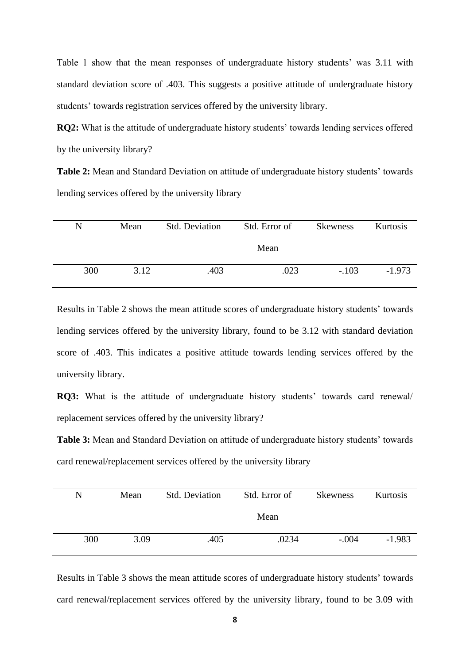Table 1 show that the mean responses of undergraduate history students' was 3.11 with standard deviation score of .403. This suggests a positive attitude of undergraduate history students' towards registration services offered by the university library.

**RQ2:** What is the attitude of undergraduate history students' towards lending services offered by the university library?

**Table 2:** Mean and Standard Deviation on attitude of undergraduate history students' towards lending services offered by the university library

| N   | Mean | <b>Std. Deviation</b> | Std. Error of | Kurtosis |          |
|-----|------|-----------------------|---------------|----------|----------|
|     |      |                       | Mean          |          |          |
| 300 | 3.12 | .403                  | .023          | $-.103$  | $-1.973$ |

Results in Table 2 shows the mean attitude scores of undergraduate history students' towards lending services offered by the university library, found to be 3.12 with standard deviation score of .403. This indicates a positive attitude towards lending services offered by the university library.

**RQ3:** What is the attitude of undergraduate history students' towards card renewal/ replacement services offered by the university library?

**Table 3:** Mean and Standard Deviation on attitude of undergraduate history students' towards card renewal/replacement services offered by the university library

| N   | Mean | <b>Std. Deviation</b> | Std. Error of | <b>Skewness</b> | Kurtosis |
|-----|------|-----------------------|---------------|-----------------|----------|
|     |      |                       | Mean          |                 |          |
| 300 | 3.09 | .405                  | .0234         | $-.004$         | $-1.983$ |

Results in Table 3 shows the mean attitude scores of undergraduate history students' towards card renewal/replacement services offered by the university library, found to be 3.09 with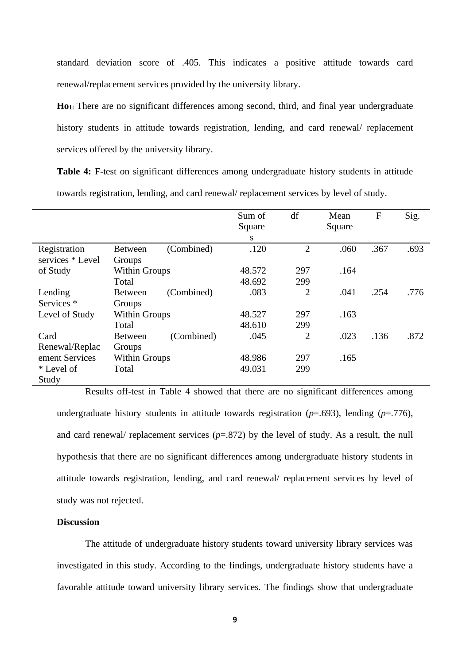standard deviation score of .405. This indicates a positive attitude towards card renewal/replacement services provided by the university library.

**Ho1:** There are no significant differences among second, third, and final year undergraduate history students in attitude towards registration, lending, and card renewal/ replacement services offered by the university library.

Table 4: F-test on significant differences among undergraduate history students in attitude towards registration, lending, and card renewal/ replacement services by level of study.

|                       |                      |            | Sum of | df             | Mean   | $\mathbf F$ | Sig. |
|-----------------------|----------------------|------------|--------|----------------|--------|-------------|------|
|                       |                      |            | Square |                | Square |             |      |
|                       |                      |            | S      |                |        |             |      |
| Registration          | <b>Between</b>       | (Combined) | .120   | $\overline{2}$ | .060   | .367        | .693 |
| services * Level      | Groups               |            |        |                |        |             |      |
| of Study              | <b>Within Groups</b> |            | 48.572 | 297            | .164   |             |      |
|                       | Total                |            | 48.692 | 299            |        |             |      |
| Lending               | <b>Between</b>       | (Combined) | .083   | $\overline{2}$ | .041   | .254        | .776 |
| Services <sup>*</sup> | Groups               |            |        |                |        |             |      |
| Level of Study        | <b>Within Groups</b> |            | 48.527 | 297            | .163   |             |      |
|                       | Total                |            | 48.610 | 299            |        |             |      |
| Card                  | <b>Between</b>       | (Combined) | .045   | $\overline{2}$ | .023   | .136        | .872 |
| Renewal/Replac        | Groups               |            |        |                |        |             |      |
| ement Services        | <b>Within Groups</b> |            | 48.986 | 297            | .165   |             |      |
| * Level of            | Total                |            | 49.031 | 299            |        |             |      |
| Study                 |                      |            |        |                |        |             |      |

Results off-test in Table 4 showed that there are no significant differences among undergraduate history students in attitude towards registration (*p*=.693), lending (*p*=.776), and card renewal/ replacement services (*p*=.872) by the level of study. As a result, the null hypothesis that there are no significant differences among undergraduate history students in attitude towards registration, lending, and card renewal/ replacement services by level of study was not rejected.

### **Discussion**

The attitude of undergraduate history students toward university library services was investigated in this study. According to the findings, undergraduate history students have a favorable attitude toward university library services. The findings show that undergraduate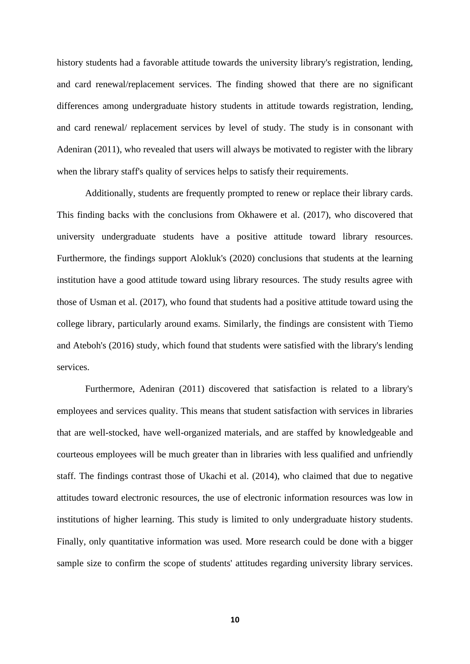history students had a favorable attitude towards the university library's registration, lending, and card renewal/replacement services. The finding showed that there are no significant differences among undergraduate history students in attitude towards registration, lending, and card renewal/ replacement services by level of study. The study is in consonant with Adeniran (2011), who revealed that users will always be motivated to register with the library when the library staff's quality of services helps to satisfy their requirements.

Additionally, students are frequently prompted to renew or replace their library cards. This finding backs with the conclusions from Okhawere et al. (2017), who discovered that university undergraduate students have a positive attitude toward library resources. Furthermore, the findings support Alokluk's (2020) conclusions that students at the learning institution have a good attitude toward using library resources. The study results agree with those of Usman et al. (2017), who found that students had a positive attitude toward using the college library, particularly around exams. Similarly, the findings are consistent with Tiemo and Ateboh's (2016) study, which found that students were satisfied with the library's lending services.

Furthermore, Adeniran (2011) discovered that satisfaction is related to a library's employees and services quality. This means that student satisfaction with services in libraries that are well-stocked, have well-organized materials, and are staffed by knowledgeable and courteous employees will be much greater than in libraries with less qualified and unfriendly staff. The findings contrast those of Ukachi et al. (2014), who claimed that due to negative attitudes toward electronic resources, the use of electronic information resources was low in institutions of higher learning. This study is limited to only undergraduate history students. Finally, only quantitative information was used. More research could be done with a bigger sample size to confirm the scope of students' attitudes regarding university library services.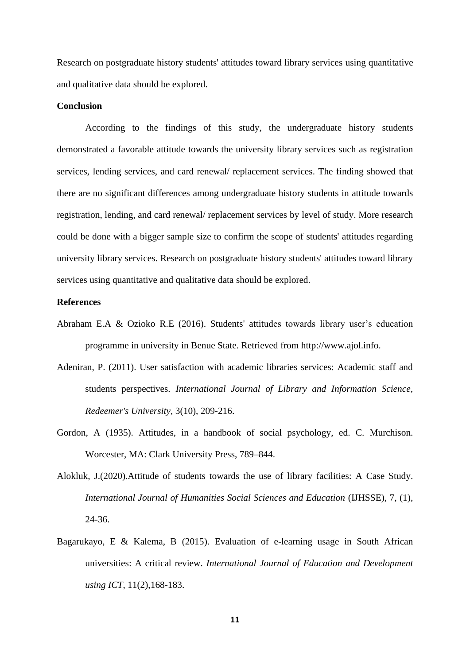Research on postgraduate history students' attitudes toward library services using quantitative and qualitative data should be explored.

#### **Conclusion**

According to the findings of this study, the undergraduate history students demonstrated a favorable attitude towards the university library services such as registration services, lending services, and card renewal/ replacement services. The finding showed that there are no significant differences among undergraduate history students in attitude towards registration, lending, and card renewal/ replacement services by level of study. More research could be done with a bigger sample size to confirm the scope of students' attitudes regarding university library services. Research on postgraduate history students' attitudes toward library services using quantitative and qualitative data should be explored.

#### **References**

- Abraham E.A & Ozioko R.E (2016). Students' attitudes towards library user's education programme in university in Benue State. Retrieved from [http://www.ajol.info.](http://www.ajol.info/)
- Adeniran, P. (2011). User satisfaction with academic libraries services: Academic staff and students perspectives. *International Journal of Library and Information Science, Redeemer's University*, 3(10), 209-216.
- Gordon, A (1935). Attitudes, in a handbook of social psychology, ed. C. Murchison. Worcester, MA: Clark University Press, 789–844.
- Alokluk, J.(2020).Attitude of students towards the use of library facilities: A Case Study. *International Journal of Humanities Social Sciences and Education* (IJHSSE), 7, (1), 24-36.
- Bagarukayo, E & Kalema, B (2015). Evaluation of e-learning usage in South African universities: A critical review. *International Journal of Education and Development using ICT*, 11(2),168-183.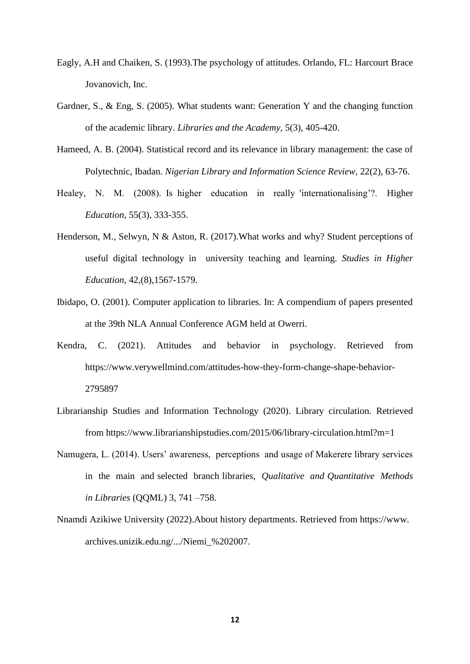- Eagly, A.H and Chaiken, S. (1993).The psychology of attitudes. Orlando, FL: Harcourt Brace Jovanovich, Inc.
- Gardner, S., & Eng, S. (2005). What students want: Generation Y and the changing function of the academic library. *Libraries and the Academy*, 5(3), 405-420.
- Hameed, A. B. (2004). Statistical record and its relevance in library management: the case of Polytechnic, Ibadan. *Nigerian Library and Information Science Review*, 22(2), 63-76.
- Healey, N. M. (2008). Is higher education in really 'internationalising'?. Higher *Education*, 55(3), 333-355.
- Henderson, M., Selwyn, N & Aston, R. (2017).What works and why? Student perceptions of useful digital technology in university teaching and learning. *Studies in Higher Education*, 42,(8),1567-1579.
- Ibidapo, O. (2001). Computer application to libraries. In: A compendium of papers presented at the 39th NLA Annual Conference AGM held at Owerri.
- Kendra, C. (2021). Attitudes and behavior in psychology. Retrieved from [https://www.verywellmind.com/attitudes-how-they-form-change-shape-behavior-](https://www.verywellmind.com/attitudes-how-they-form-change-shape-behavior-2795897)[2795897](https://www.verywellmind.com/attitudes-how-they-form-change-shape-behavior-2795897)
- Librarianship Studies and Information Technology (2020). Library circulation. Retrieved from<https://www.librarianshipstudies.com/2015/06/library-circulation.html?m=1>
- Namugera, L. (2014). Users' awareness, perceptions and usage of Makerere library services in the main and selected branch libraries, *Qualitative and Quantitative Methods in Libraries* (QQML) 3, 741 –758.
- Nnamdi Azikiwe University (2022).About history departments. Retrieved from https://www. archives.unizik.edu.ng/.../Niemi\_%202007.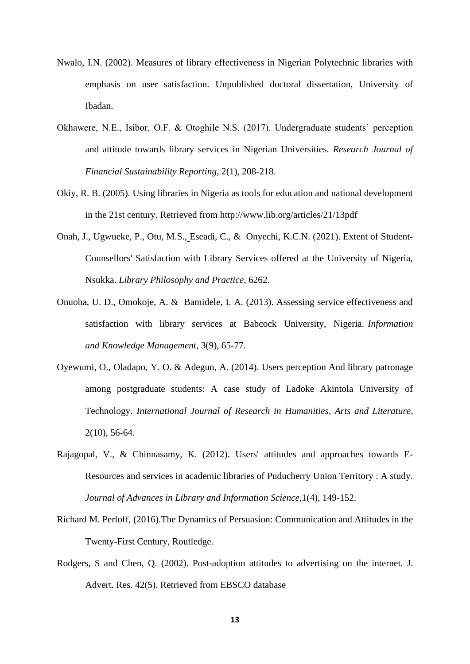- Nwalo, I.N. (2002). Measures of library effectiveness in Nigerian Polytechnic libraries with emphasis on user satisfaction. Unpublished doctoral dissertation, University of Ibadan.
- Okhawere, N.E., Isibor, O.F. & Otoghile N.S. (2017). Undergraduate students' perception and attitude towards library services in Nigerian Universities. *Research Journal of Financial Sustainability Reporting*, 2(1), 208-218.
- Okiy, R. B. (2005). Using libraries in Nigeria as tools for education and national development in the 21st century. Retrieved from<http://www.lib.org/articles/21/13pdf>
- Onah, J., Ugwueke, P., Otu, M.S., Eseadi, C., & Onyechi, K.C.N. (2021). Extent of Student-Counsellors' Satisfaction with Library Services offered at the University of Nigeria, Nsukka. *Library Philosophy and Practice*, 6262.
- Onuoha, U. D., Omokoje, A. & Bamidele, I. A. (2013). Assessing service effectiveness and satisfaction with library services at Babcock University, Nigeria. *Information and Knowledge Management*, 3(9), 65-77.
- Oyewumi, O., Oladapo, Y. O. & Adegun, A. (2014). Users perception And library patronage among postgraduate students: A case study of Ladoke Akintola University of Technology. *International Journal of Research in Humanities, Arts and Literature*, 2(10), 56-64.
- Rajagopal, V., & Chinnasamy, K. (2012). Users' attitudes and approaches towards E-Resources and services in academic libraries of Puducherry Union Territory : A study. *Journal of Advances in Library and Information Science*,1(4), 149-152.
- Richard M. Perloff, (2016).The Dynamics of Persuasion: Communication and Attitudes in the Twenty-First Century, Routledge.
- Rodgers, S and Chen, Q. (2002). Post-adoption attitudes to advertising on the internet. J. Advert. Res. 42(5). Retrieved from EBSCO database